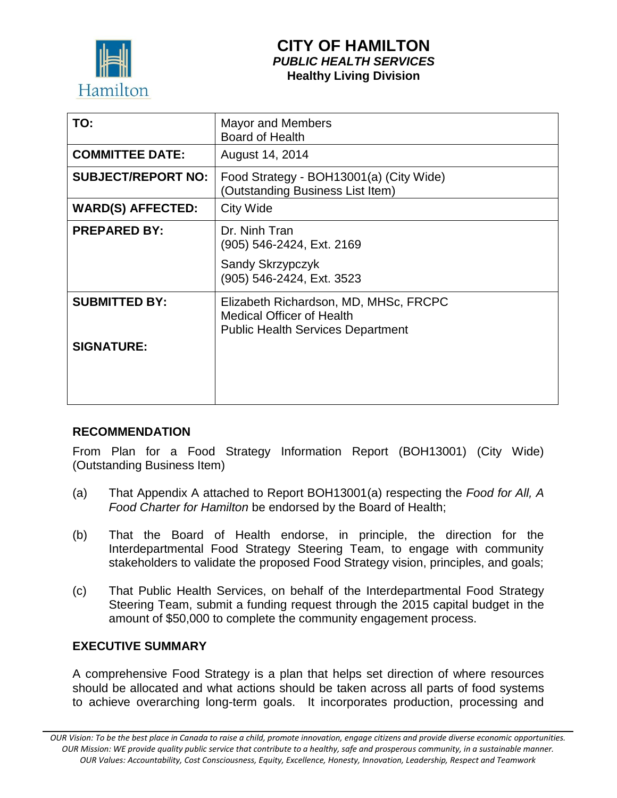

# **CITY OF HAMILTON** *PUBLIC HEALTH SERVICES* **Healthy Living Division**

| TO:                       | <b>Mayor and Members</b><br><b>Board of Health</b>                                                                    |
|---------------------------|-----------------------------------------------------------------------------------------------------------------------|
| <b>COMMITTEE DATE:</b>    | August 14, 2014                                                                                                       |
| <b>SUBJECT/REPORT NO:</b> | Food Strategy - BOH13001(a) (City Wide)<br>(Outstanding Business List Item)                                           |
| <b>WARD(S) AFFECTED:</b>  | City Wide                                                                                                             |
| <b>PREPARED BY:</b>       | Dr. Ninh Tran<br>(905) 546-2424, Ext. 2169                                                                            |
|                           | Sandy Skrzypczyk<br>(905) 546-2424, Ext. 3523                                                                         |
| <b>SUBMITTED BY:</b>      | Elizabeth Richardson, MD, MHSc, FRCPC<br><b>Medical Officer of Health</b><br><b>Public Health Services Department</b> |
| <b>SIGNATURE:</b>         |                                                                                                                       |

# **RECOMMENDATION**

From Plan for a Food Strategy Information Report (BOH13001) (City Wide) (Outstanding Business Item)

- (a) That Appendix A attached to Report BOH13001(a) respecting the *Food for All, A Food Charter for Hamilton* be endorsed by the Board of Health;
- (b) That the Board of Health endorse, in principle, the direction for the Interdepartmental Food Strategy Steering Team, to engage with community stakeholders to validate the proposed Food Strategy vision, principles, and goals;
- (c) That Public Health Services, on behalf of the Interdepartmental Food Strategy Steering Team, submit a funding request through the 2015 capital budget in the amount of \$50,000 to complete the community engagement process.

#### **EXECUTIVE SUMMARY**

A comprehensive Food Strategy is a plan that helps set direction of where resources should be allocated and what actions should be taken across all parts of food systems to achieve overarching long-term goals. It incorporates production, processing and

*OUR Vision: To be the best place in Canada to raise a child, promote innovation, engage citizens and provide diverse economic opportunities. OUR Mission: WE provide quality public service that contribute to a healthy, safe and prosperous community, in a sustainable manner. OUR Values: Accountability, Cost Consciousness, Equity, Excellence, Honesty, Innovation, Leadership, Respect and Teamwork*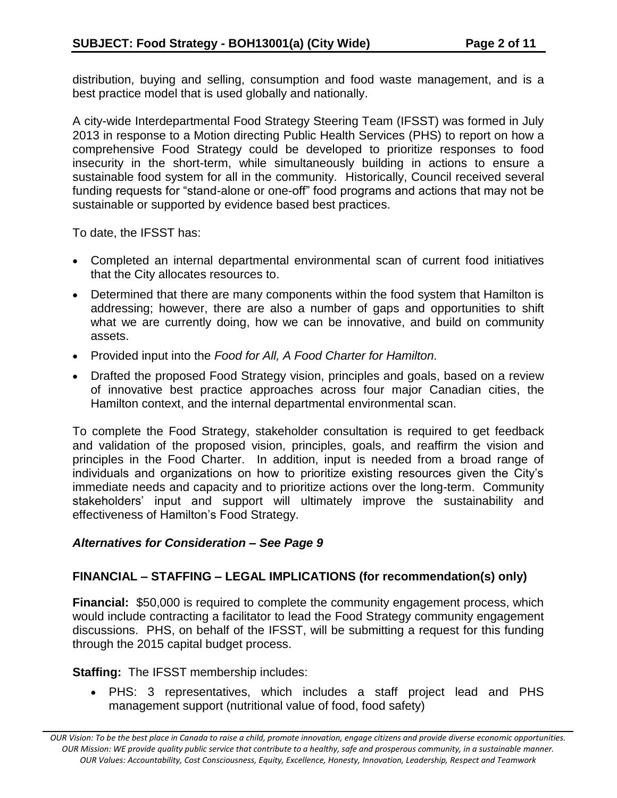distribution, buying and selling, consumption and food waste management, and is a best practice model that is used globally and nationally.

A city-wide Interdepartmental Food Strategy Steering Team (IFSST) was formed in July 2013 in response to a Motion directing Public Health Services (PHS) to report on how a comprehensive Food Strategy could be developed to prioritize responses to food insecurity in the short-term, while simultaneously building in actions to ensure a sustainable food system for all in the community. Historically, Council received several funding requests for "stand-alone or one-off" food programs and actions that may not be sustainable or supported by evidence based best practices.

To date, the IFSST has:

- Completed an internal departmental environmental scan of current food initiatives that the City allocates resources to.
- Determined that there are many components within the food system that Hamilton is addressing; however, there are also a number of gaps and opportunities to shift what we are currently doing, how we can be innovative, and build on community assets.
- Provided input into the *Food for All, A Food Charter for Hamilton.*
- Drafted the proposed Food Strategy vision, principles and goals, based on a review of innovative best practice approaches across four major Canadian cities, the Hamilton context, and the internal departmental environmental scan.

To complete the Food Strategy, stakeholder consultation is required to get feedback and validation of the proposed vision, principles, goals, and reaffirm the vision and principles in the Food Charter. In addition, input is needed from a broad range of individuals and organizations on how to prioritize existing resources given the City's immediate needs and capacity and to prioritize actions over the long-term. Community stakeholders' input and support will ultimately improve the sustainability and effectiveness of Hamilton's Food Strategy.

# *Alternatives for Consideration – See Page 9*

# **FINANCIAL – STAFFING – LEGAL IMPLICATIONS (for recommendation(s) only)**

**Financial:** \$50,000 is required to complete the community engagement process, which would include contracting a facilitator to lead the Food Strategy community engagement discussions. PHS, on behalf of the IFSST, will be submitting a request for this funding through the 2015 capital budget process.

**Staffing:** The IFSST membership includes:

 PHS: 3 representatives, which includes a staff project lead and PHS management support (nutritional value of food, food safety)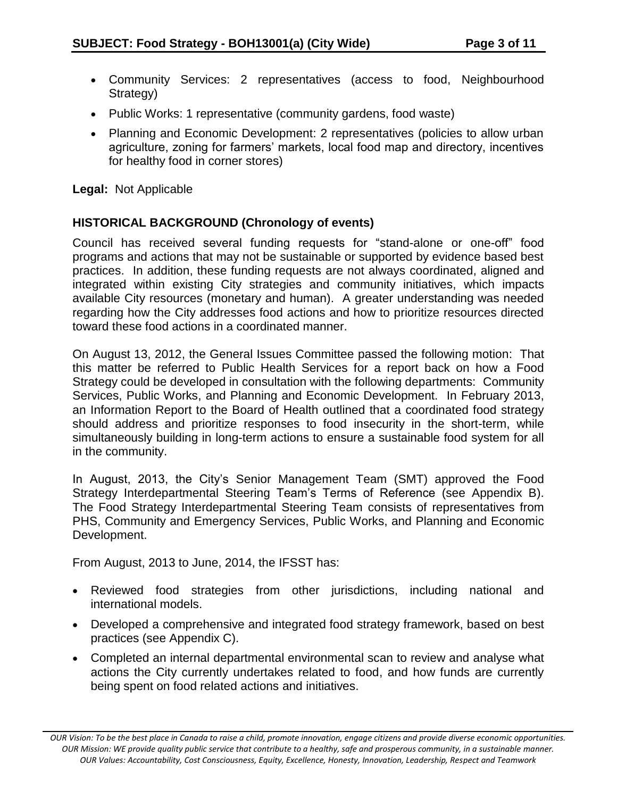- Community Services: 2 representatives (access to food, Neighbourhood Strategy)
- Public Works: 1 representative (community gardens, food waste)
- Planning and Economic Development: 2 representatives (policies to allow urban agriculture, zoning for farmers' markets, local food map and directory, incentives for healthy food in corner stores)

**Legal:** Not Applicable

# **HISTORICAL BACKGROUND (Chronology of events)**

Council has received several funding requests for "stand-alone or one-off" food programs and actions that may not be sustainable or supported by evidence based best practices. In addition, these funding requests are not always coordinated, aligned and integrated within existing City strategies and community initiatives, which impacts available City resources (monetary and human). A greater understanding was needed regarding how the City addresses food actions and how to prioritize resources directed toward these food actions in a coordinated manner.

On August 13, 2012, the General Issues Committee passed the following motion: That this matter be referred to Public Health Services for a report back on how a Food Strategy could be developed in consultation with the following departments: Community Services, Public Works, and Planning and Economic Development. In February 2013, an Information Report to the Board of Health outlined that a coordinated food strategy should address and prioritize responses to food insecurity in the short-term, while simultaneously building in long-term actions to ensure a sustainable food system for all in the community.

In August, 2013, the City's Senior Management Team (SMT) approved the Food Strategy Interdepartmental Steering Team's Terms of Reference (see Appendix B). The Food Strategy Interdepartmental Steering Team consists of representatives from PHS, Community and Emergency Services, Public Works, and Planning and Economic Development.

From August, 2013 to June, 2014, the IFSST has:

- Reviewed food strategies from other jurisdictions, including national and international models.
- Developed a comprehensive and integrated food strategy framework, based on best practices (see Appendix C).
- Completed an internal departmental environmental scan to review and analyse what actions the City currently undertakes related to food, and how funds are currently being spent on food related actions and initiatives.

*OUR Vision: To be the best place in Canada to raise a child, promote innovation, engage citizens and provide diverse economic opportunities. OUR Mission: WE provide quality public service that contribute to a healthy, safe and prosperous community, in a sustainable manner. OUR Values: Accountability, Cost Consciousness, Equity, Excellence, Honesty, Innovation, Leadership, Respect and Teamwork*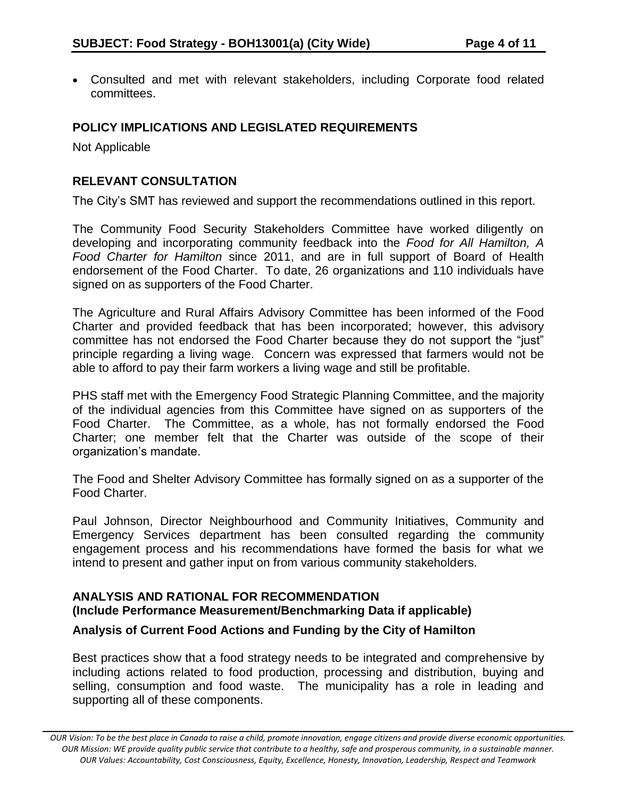Consulted and met with relevant stakeholders, including Corporate food related committees.

# **POLICY IMPLICATIONS AND LEGISLATED REQUIREMENTS**

Not Applicable

## **RELEVANT CONSULTATION**

The City's SMT has reviewed and support the recommendations outlined in this report.

The Community Food Security Stakeholders Committee have worked diligently on developing and incorporating community feedback into the *Food for All Hamilton, A Food Charter for Hamilton* since 2011, and are in full support of Board of Health endorsement of the Food Charter. To date, 26 organizations and 110 individuals have signed on as supporters of the Food Charter.

The Agriculture and Rural Affairs Advisory Committee has been informed of the Food Charter and provided feedback that has been incorporated; however, this advisory committee has not endorsed the Food Charter because they do not support the "just" principle regarding a living wage. Concern was expressed that farmers would not be able to afford to pay their farm workers a living wage and still be profitable.

PHS staff met with the Emergency Food Strategic Planning Committee, and the majority of the individual agencies from this Committee have signed on as supporters of the Food Charter. The Committee, as a whole, has not formally endorsed the Food Charter; one member felt that the Charter was outside of the scope of their organization's mandate.

The Food and Shelter Advisory Committee has formally signed on as a supporter of the Food Charter.

Paul Johnson, Director Neighbourhood and Community Initiatives, Community and Emergency Services department has been consulted regarding the community engagement process and his recommendations have formed the basis for what we intend to present and gather input on from various community stakeholders.

### **ANALYSIS AND RATIONAL FOR RECOMMENDATION (Include Performance Measurement/Benchmarking Data if applicable)**

# **Analysis of Current Food Actions and Funding by the City of Hamilton**

Best practices show that a food strategy needs to be integrated and comprehensive by including actions related to food production, processing and distribution, buying and selling, consumption and food waste. The municipality has a role in leading and supporting all of these components.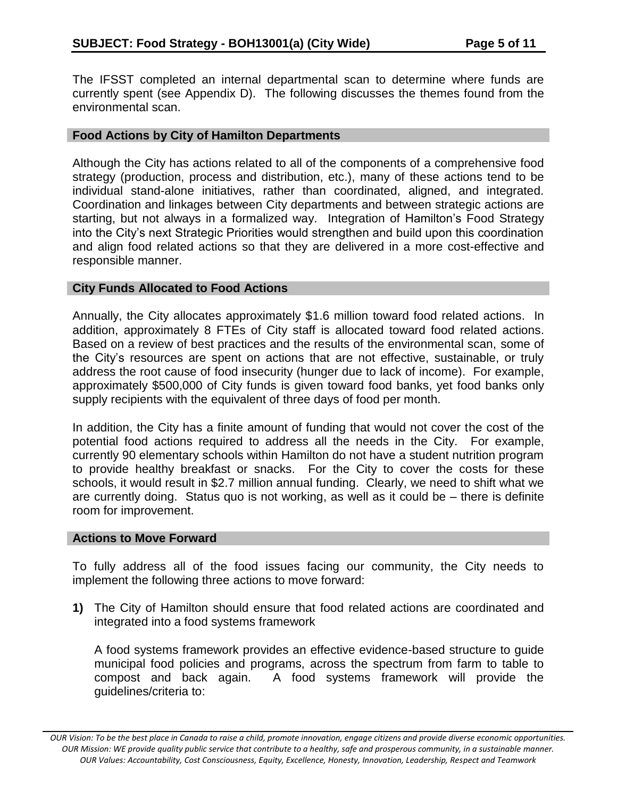The IFSST completed an internal departmental scan to determine where funds are currently spent (see Appendix D). The following discusses the themes found from the environmental scan.

#### **Food Actions by City of Hamilton Departments**

Although the City has actions related to all of the components of a comprehensive food strategy (production, process and distribution, etc.), many of these actions tend to be individual stand-alone initiatives, rather than coordinated, aligned, and integrated. Coordination and linkages between City departments and between strategic actions are starting, but not always in a formalized way. Integration of Hamilton's Food Strategy into the City's next Strategic Priorities would strengthen and build upon this coordination and align food related actions so that they are delivered in a more cost-effective and responsible manner.

#### **City Funds Allocated to Food Actions**

Annually, the City allocates approximately \$1.6 million toward food related actions. In addition, approximately 8 FTEs of City staff is allocated toward food related actions. Based on a review of best practices and the results of the environmental scan, some of the City's resources are spent on actions that are not effective, sustainable, or truly address the root cause of food insecurity (hunger due to lack of income). For example, approximately \$500,000 of City funds is given toward food banks, yet food banks only supply recipients with the equivalent of three days of food per month.

In addition, the City has a finite amount of funding that would not cover the cost of the potential food actions required to address all the needs in the City. For example, currently 90 elementary schools within Hamilton do not have a student nutrition program to provide healthy breakfast or snacks. For the City to cover the costs for these schools, it would result in \$2.7 million annual funding. Clearly, we need to shift what we are currently doing. Status quo is not working, as well as it could be – there is definite room for improvement.

#### **Actions to Move Forward**

To fully address all of the food issues facing our community, the City needs to implement the following three actions to move forward:

**1)** The City of Hamilton should ensure that food related actions are coordinated and integrated into a food systems framework

A food systems framework provides an effective evidence-based structure to guide municipal food policies and programs, across the spectrum from farm to table to compost and back again. A food systems framework will provide the guidelines/criteria to:

*OUR Vision: To be the best place in Canada to raise a child, promote innovation, engage citizens and provide diverse economic opportunities. OUR Mission: WE provide quality public service that contribute to a healthy, safe and prosperous community, in a sustainable manner. OUR Values: Accountability, Cost Consciousness, Equity, Excellence, Honesty, Innovation, Leadership, Respect and Teamwork*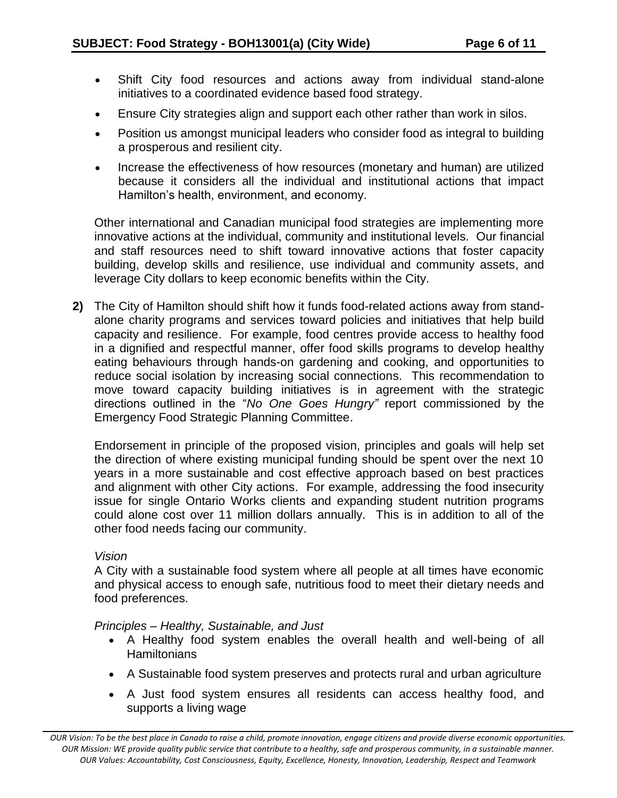- Shift City food resources and actions away from individual stand-alone initiatives to a coordinated evidence based food strategy.
- Ensure City strategies align and support each other rather than work in silos.
- Position us amongst municipal leaders who consider food as integral to building a prosperous and resilient city.
- Increase the effectiveness of how resources (monetary and human) are utilized because it considers all the individual and institutional actions that impact Hamilton's health, environment, and economy.

Other international and Canadian municipal food strategies are implementing more innovative actions at the individual, community and institutional levels. Our financial and staff resources need to shift toward innovative actions that foster capacity building, develop skills and resilience, use individual and community assets, and leverage City dollars to keep economic benefits within the City.

**2)** The City of Hamilton should shift how it funds food-related actions away from standalone charity programs and services toward policies and initiatives that help build capacity and resilience. For example, food centres provide access to healthy food in a dignified and respectful manner, offer food skills programs to develop healthy eating behaviours through hands-on gardening and cooking, and opportunities to reduce social isolation by increasing social connections. This recommendation to move toward capacity building initiatives is in agreement with the strategic directions outlined in the "*No One Goes Hungry"* report commissioned by the Emergency Food Strategic Planning Committee.

Endorsement in principle of the proposed vision, principles and goals will help set the direction of where existing municipal funding should be spent over the next 10 years in a more sustainable and cost effective approach based on best practices and alignment with other City actions. For example, addressing the food insecurity issue for single Ontario Works clients and expanding student nutrition programs could alone cost over 11 million dollars annually. This is in addition to all of the other food needs facing our community.

#### *Vision*

A City with a sustainable food system where all people at all times have economic and physical access to enough safe, nutritious food to meet their dietary needs and food preferences.

*Principles – Healthy, Sustainable, and Just*

- A Healthy food system enables the overall health and well-being of all **Hamiltonians**
- A Sustainable food system preserves and protects rural and urban agriculture
- A Just food system ensures all residents can access healthy food, and supports a living wage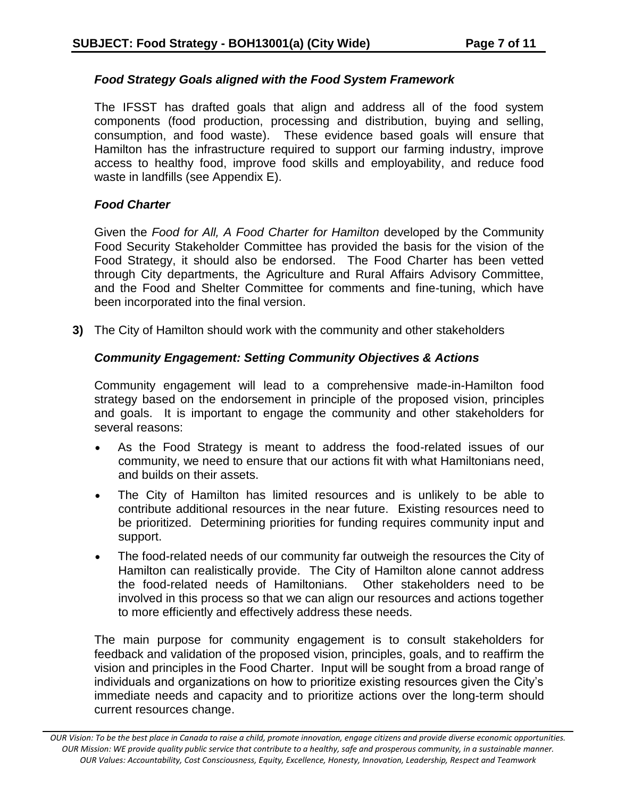### *Food Strategy Goals aligned with the Food System Framework*

The IFSST has drafted goals that align and address all of the food system components (food production, processing and distribution, buying and selling, consumption, and food waste). These evidence based goals will ensure that Hamilton has the infrastructure required to support our farming industry, improve access to healthy food, improve food skills and employability, and reduce food waste in landfills (see Appendix E).

### *Food Charter*

Given the *Food for All, A Food Charter for Hamilton* developed by the Community Food Security Stakeholder Committee has provided the basis for the vision of the Food Strategy, it should also be endorsed. The Food Charter has been vetted through City departments, the Agriculture and Rural Affairs Advisory Committee, and the Food and Shelter Committee for comments and fine-tuning, which have been incorporated into the final version.

**3)** The City of Hamilton should work with the community and other stakeholders

# *Community Engagement: Setting Community Objectives & Actions*

Community engagement will lead to a comprehensive made-in-Hamilton food strategy based on the endorsement in principle of the proposed vision, principles and goals. It is important to engage the community and other stakeholders for several reasons:

- As the Food Strategy is meant to address the food-related issues of our community, we need to ensure that our actions fit with what Hamiltonians need, and builds on their assets.
- The City of Hamilton has limited resources and is unlikely to be able to contribute additional resources in the near future. Existing resources need to be prioritized. Determining priorities for funding requires community input and support.
- The food-related needs of our community far outweigh the resources the City of Hamilton can realistically provide. The City of Hamilton alone cannot address the food-related needs of Hamiltonians. Other stakeholders need to be involved in this process so that we can align our resources and actions together to more efficiently and effectively address these needs.

The main purpose for community engagement is to consult stakeholders for feedback and validation of the proposed vision, principles, goals, and to reaffirm the vision and principles in the Food Charter. Input will be sought from a broad range of individuals and organizations on how to prioritize existing resources given the City's immediate needs and capacity and to prioritize actions over the long-term should current resources change.

*OUR Vision: To be the best place in Canada to raise a child, promote innovation, engage citizens and provide diverse economic opportunities. OUR Mission: WE provide quality public service that contribute to a healthy, safe and prosperous community, in a sustainable manner. OUR Values: Accountability, Cost Consciousness, Equity, Excellence, Honesty, Innovation, Leadership, Respect and Teamwork*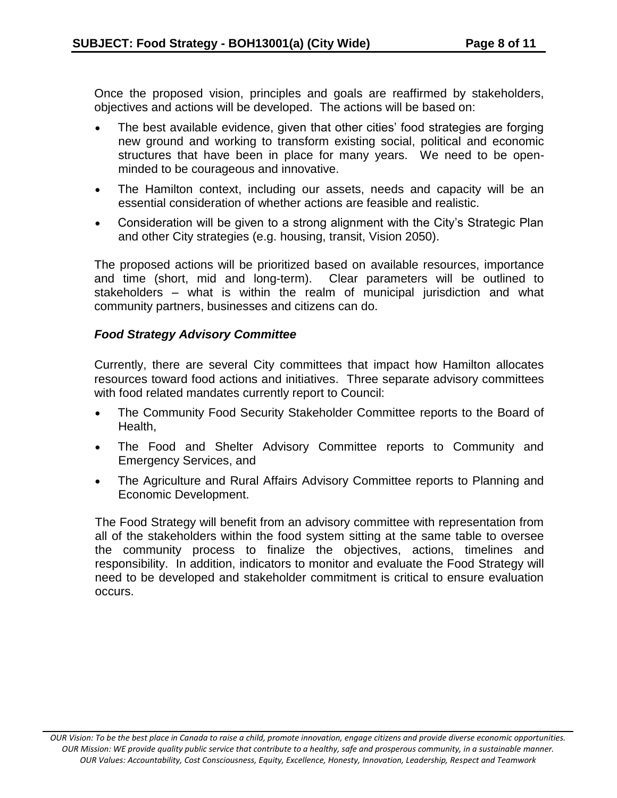Once the proposed vision, principles and goals are reaffirmed by stakeholders, objectives and actions will be developed. The actions will be based on:

- The best available evidence, given that other cities' food strategies are forging new ground and working to transform existing social, political and economic structures that have been in place for many years. We need to be openminded to be courageous and innovative.
- The Hamilton context, including our assets, needs and capacity will be an essential consideration of whether actions are feasible and realistic.
- Consideration will be given to a strong alignment with the City's Strategic Plan and other City strategies (e.g. housing, transit, Vision 2050).

The proposed actions will be prioritized based on available resources, importance and time (short, mid and long-term). Clear parameters will be outlined to stakeholders – what is within the realm of municipal jurisdiction and what community partners, businesses and citizens can do.

# *Food Strategy Advisory Committee*

Currently, there are several City committees that impact how Hamilton allocates resources toward food actions and initiatives. Three separate advisory committees with food related mandates currently report to Council:

- The Community Food Security Stakeholder Committee reports to the Board of Health,
- The Food and Shelter Advisory Committee reports to Community and Emergency Services, and
- The Agriculture and Rural Affairs Advisory Committee reports to Planning and Economic Development.

The Food Strategy will benefit from an advisory committee with representation from all of the stakeholders within the food system sitting at the same table to oversee the community process to finalize the objectives, actions, timelines and responsibility. In addition, indicators to monitor and evaluate the Food Strategy will need to be developed and stakeholder commitment is critical to ensure evaluation occurs.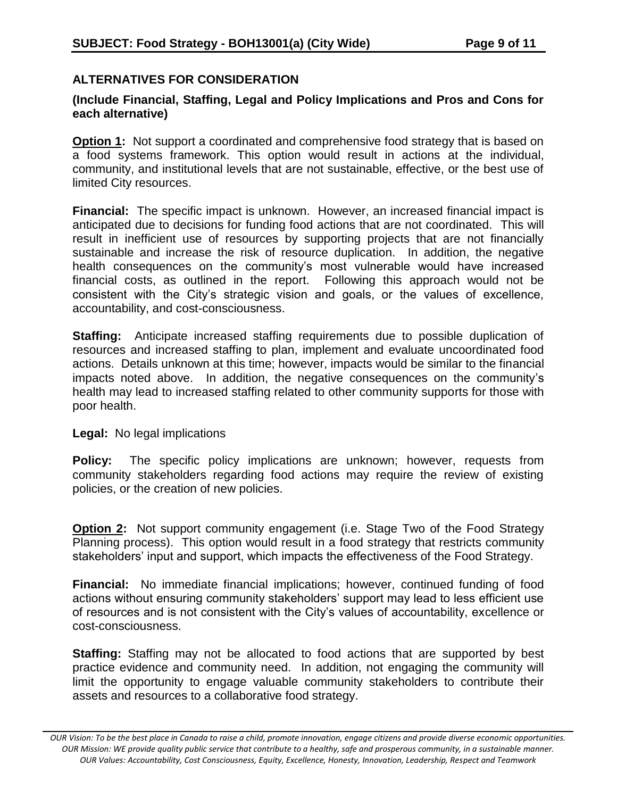# **ALTERNATIVES FOR CONSIDERATION**

# **(Include Financial, Staffing, Legal and Policy Implications and Pros and Cons for each alternative)**

**Option 1:** Not support a coordinated and comprehensive food strategy that is based on a food systems framework. This option would result in actions at the individual, community, and institutional levels that are not sustainable, effective, or the best use of limited City resources.

**Financial:** The specific impact is unknown. However, an increased financial impact is anticipated due to decisions for funding food actions that are not coordinated. This will result in inefficient use of resources by supporting projects that are not financially sustainable and increase the risk of resource duplication. In addition, the negative health consequences on the community's most vulnerable would have increased financial costs, as outlined in the report. Following this approach would not be consistent with the City's strategic vision and goals, or the values of excellence, accountability, and cost-consciousness.

**Staffing:** Anticipate increased staffing requirements due to possible duplication of resources and increased staffing to plan, implement and evaluate uncoordinated food actions. Details unknown at this time; however, impacts would be similar to the financial impacts noted above. In addition, the negative consequences on the community's health may lead to increased staffing related to other community supports for those with poor health.

#### **Legal:** No legal implications

**Policy:** The specific policy implications are unknown; however, requests from community stakeholders regarding food actions may require the review of existing policies, or the creation of new policies.

**Option 2:** Not support community engagement (i.e. Stage Two of the Food Strategy Planning process). This option would result in a food strategy that restricts community stakeholders' input and support, which impacts the effectiveness of the Food Strategy.

**Financial:** No immediate financial implications; however, continued funding of food actions without ensuring community stakeholders' support may lead to less efficient use of resources and is not consistent with the City's values of accountability, excellence or cost-consciousness.

**Staffing:** Staffing may not be allocated to food actions that are supported by best practice evidence and community need. In addition, not engaging the community will limit the opportunity to engage valuable community stakeholders to contribute their assets and resources to a collaborative food strategy.

*OUR Vision: To be the best place in Canada to raise a child, promote innovation, engage citizens and provide diverse economic opportunities. OUR Mission: WE provide quality public service that contribute to a healthy, safe and prosperous community, in a sustainable manner. OUR Values: Accountability, Cost Consciousness, Equity, Excellence, Honesty, Innovation, Leadership, Respect and Teamwork*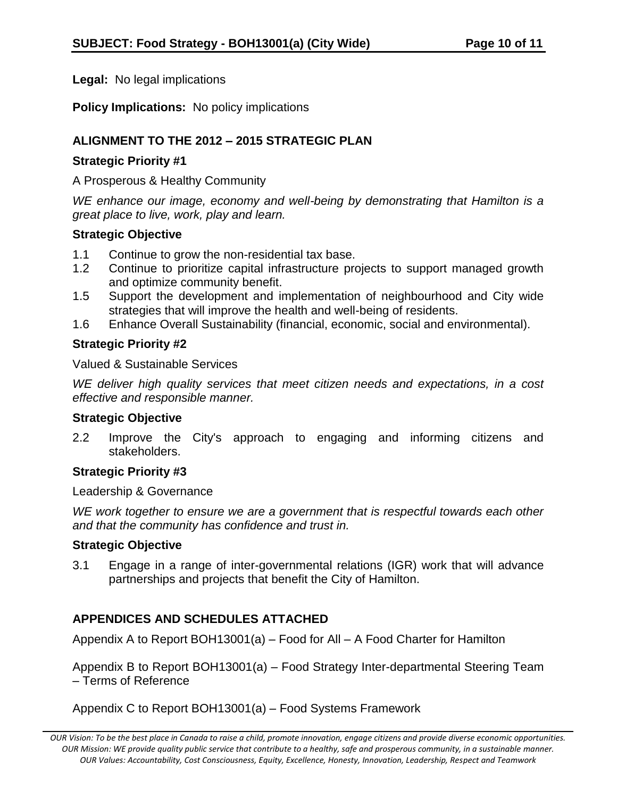**Legal:** No legal implications

**Policy Implications:** No policy implications

# **ALIGNMENT TO THE 2012 – 2015 STRATEGIC PLAN**

### **Strategic Priority #1**

A Prosperous & Healthy Community

*WE enhance our image, economy and well-being by demonstrating that Hamilton is a great place to live, work, play and learn.*

### **Strategic Objective**

- 1.1 Continue to grow the non-residential tax base.
- 1.2 Continue to prioritize capital infrastructure projects to support managed growth and optimize community benefit.
- 1.5 Support the development and implementation of neighbourhood and City wide strategies that will improve the health and well-being of residents.
- 1.6 Enhance Overall Sustainability (financial, economic, social and environmental).

# **Strategic Priority #2**

Valued & Sustainable Services

*WE deliver high quality services that meet citizen needs and expectations, in a cost effective and responsible manner.*

# **Strategic Objective**

2.2 Improve the City's approach to engaging and informing citizens and stakeholders.

# **Strategic Priority #3**

Leadership & Governance

WE work together to ensure we are a government that is respectful towards each other *and that the community has confidence and trust in.*

# **Strategic Objective**

3.1 Engage in a range of inter-governmental relations (IGR) work that will advance partnerships and projects that benefit the City of Hamilton.

# **APPENDICES AND SCHEDULES ATTACHED**

Appendix A to Report BOH13001(a) – Food for All – A Food Charter for Hamilton

Appendix B to Report BOH13001(a) – Food Strategy Inter-departmental Steering Team – Terms of Reference

Appendix C to Report BOH13001(a) – Food Systems Framework

*OUR Vision: To be the best place in Canada to raise a child, promote innovation, engage citizens and provide diverse economic opportunities. OUR Mission: WE provide quality public service that contribute to a healthy, safe and prosperous community, in a sustainable manner. OUR Values: Accountability, Cost Consciousness, Equity, Excellence, Honesty, Innovation, Leadership, Respect and Teamwork*